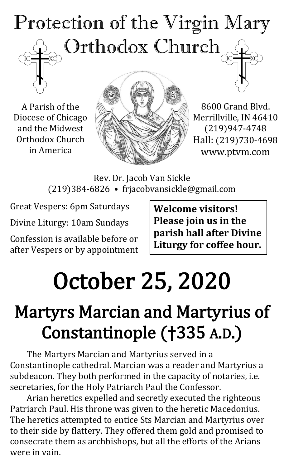

A Parish of the Diocese of Chicago and the Midwest Orthodox Church in America



8600 Grand Blvd. Merrillville, IN 46410 (219)947-4748 Hall: (219)730-4698 www.ptvm.com

Rev. Dr. Jacob Van Sickle (219)384-6826 • frjacobvansickle@gmail.com

Great Vespers: 6pm Saturdays

Divine Liturgy: 10am Sundays

Confession is available before or after Vespers or by appointment **Welcome visitors! Please join us in the parish hall after Divine Liturgy for coffee hour.**

# October 25, 2020

# Martyrs Marcian and Martyrius of Constantinople (†335 A.D.)

The Martyrs Marcian and Martyrius served in a Constantinople cathedral. Marcian was a reader and Martyrius a subdeacon. They both performed in the capacity of notaries, i.e. secretaries, for the Holy Patriarch Paul the Confessor.

Arian heretics expelled and secretly executed the righteous Patriarch Paul. His throne was given to the heretic Macedonius. The heretics attempted to entice Sts Marcian and Martyrius over to their side by flattery. They offered them gold and promised to consecrate them as archbishops, but all the efforts of the Arians were in vain.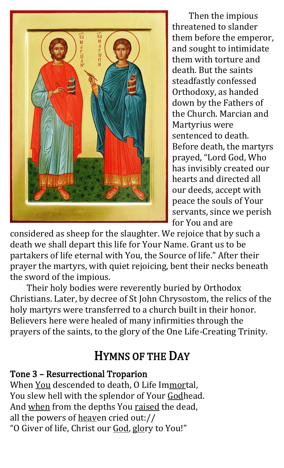

Then the impious threatened to slander them before the emperor, and sought to intimidate them with torture and death. But the saints steadfastly confessed Orthodoxy, as handed down by the Fathers of the Church. Marcian and Martyrius were sentenced to death. Before death, the martyrs prayed, "Lord God, Who has invisibly created our hearts and directed all our deeds, accept with peace the souls of Your servants, since we perish for You and are

considered as sheep for the slaughter. We rejoice that by such a death we shall depart this life for Your Name. Grant us to be partakers of life eternal with You, the Source of life." After their prayer the martyrs, with quiet rejoicing, bent their necks beneath the sword of the impious.

Their holy bodies were reverently buried by Orthodox Christians. Later, by decree of St John Chrysostom, the relics of the holy martyrs were transferred to a church built in their honor. Believers here were healed of many infirmities through the prayers of the saints, to the glory of the One Life-Creating Trinity.

## HYMNS OF THE DAY

#### Tone 3 – Resurrectional Troparion

When You descended to death, O Life Immortal, You slew hell with the splendor of Your Godhead. And when from the depths You raised the dead, all the powers of heaven cried out:// "O Giver of life, Christ our God, glory to You!"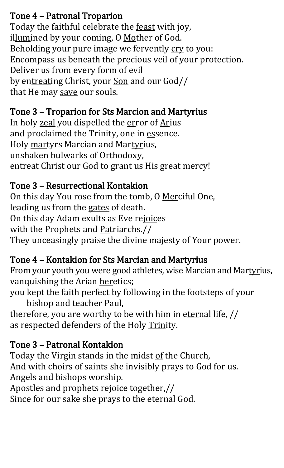#### Tone 4 – Patronal Troparion

Today the faithful celebrate the feast with joy, illumined by your coming, O Mother of God. Beholding your pure image we fervently cry to you: Encompass us beneath the precious veil of your protection. Deliver us from every form of evil by entreating Christ, your Son and our God// that He may save our souls.

#### Tone 3 – Troparion for Sts Marcion and Martyrius

In holy zeal you dispelled the error of Arius and proclaimed the Trinity, one in essence. Holy martyrs Marcian and Martyrius, unshaken bulwarks of Orthodoxy, entreat Christ our God to grant us His great mercy!

#### Tone 3 – Resurrectional Kontakion

On this day You rose from the tomb, O Merciful One, leading us from the gates of death. On this day Adam exults as Eve rejoices with the Prophets and Patriarchs.// They unceasingly praise the divine majesty of Your power.

#### Tone 4 – Kontakion for Sts Marcian and Martyrius

From your youth you were good athletes, wise Marcian and Martyrius, vanquishing the Arian heretics;

you kept the faith perfect by following in the footsteps of your bishop and teacher Paul,

therefore, you are worthy to be with him in eternal life, // as respected defenders of the Holy Trinity.

### Tone 3 – Patronal Kontakion

Today the Virgin stands in the midst of the Church, And with choirs of saints she invisibly prays to God for us. Angels and bishops worship.

Apostles and prophets rejoice together,//

Since for our sake she prays to the eternal God.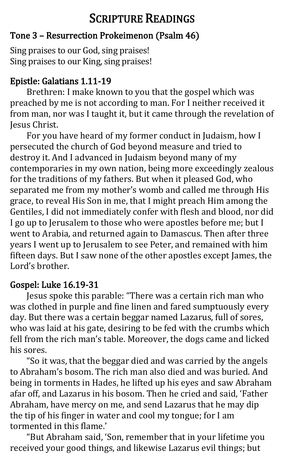# SCRIPTURE READINGS

#### Tone 3 – Resurrection Prokeimenon (Psalm 46)

Sing praises to our God, sing praises! Sing praises to our King, sing praises!

#### Epistle: Galatians 1.11-19

Brethren: I make known to you that the gospel which was preached by me is not according to man. For I neither received it from man, nor was I taught it, but it came through the revelation of Jesus Christ.

For you have heard of my former conduct in Judaism, how I persecuted the church of God beyond measure and tried to destroy it. And I advanced in Judaism beyond many of my contemporaries in my own nation, being more exceedingly zealous for the traditions of my fathers. But when it pleased God, who separated me from my mother's womb and called me through His grace, to reveal His Son in me, that I might preach Him among the Gentiles, I did not immediately confer with flesh and blood, nor did I go up to Jerusalem to those who were apostles before me; but I went to Arabia, and returned again to Damascus. Then after three years I went up to Jerusalem to see Peter, and remained with him fifteen days. But I saw none of the other apostles except James, the Lor[d's](https://www.oca.org/readings/daily/2020/10/17) brother.

#### Gospel: Luke 16.19-31

Jesus spoke this parable: "There was a certain rich man who was clothed in purple and fine linen and fared sumptuously every day. But there was a certain beggar named Lazarus, full of sores, who was laid at his gate, desiring to be fed with the crumbs which fell from the rich man's table. Moreover, the dogs came and licked his sores.

"So it was, that the beggar died and was carried by the angels to Abraham's bosom. The rich man also died and was buried. And being in torments in Hades, he lifted up his eyes and saw Abraham afar off, and Lazarus in his bosom. Then he cried and said, 'Father Abraham, have mercy on me, and send Lazarus that he may dip the tip of his finger in water and cool my tongue; for I am tormented in this flame.'

"But Abraham said, 'Son, remember that in your lifetime you received your good things, and likewise Lazarus evil things; but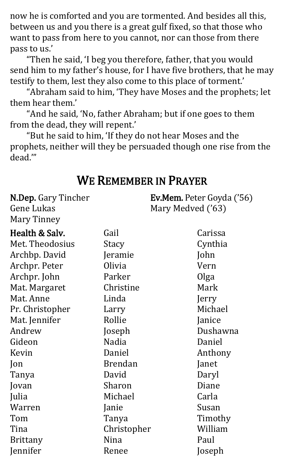now he is comforted and you are tormented. And besides all this, between us and you there is a great gulf fixed, so that those who want to pass from here to you cannot, nor can those from there pass to us.'

"Then he said, 'I beg you therefore, father, that you would send him to my father's house, for I have five brothers, that he may testify to them, lest they also come to this place of torment.'

"Abraham said to him, 'They have Moses and the prophets; let them hear them.'

"And he said, 'No, father Abraham; but if one goes to them from the dead, they will repent.'

"But he said to him, 'If they do not hear Moses and the prophets, neither will they be persuaded though one rise from the dead.'"

#### WE REMEMBER IN PRAYER

N.Dep. Gary Tincher Gene Lukas Mary Tinney

Ev.Mem. Peter Goyda ('56) Mary Medved ('63)

| Health & Salv.  | Gail           | Carissa  |
|-----------------|----------------|----------|
| Met. Theodosius | Stacy          | Cynthia  |
| Archbp. David   | Jeramie        | John     |
| Archpr. Peter   | Olivia         | Vern     |
| Archpr. John    | Parker         | Olga     |
| Mat. Margaret   | Christine      | Mark     |
| Mat. Anne       | Linda          | Jerry    |
| Pr. Christopher | Larry          | Michael  |
| Mat. Jennifer   | Rollie         | Janice   |
| Andrew          | Joseph         | Dushawna |
| Gideon          | Nadia          | Daniel   |
| Kevin           | Daniel         | Anthony  |
| Jon             | <b>Brendan</b> | Janet    |
| Tanya           | David          | Daryl    |
| Jovan           | Sharon         | Diane    |
| Julia           | Michael        | Carla    |
| Warren          | Janie          | Susan    |
| Tom             | Tanya          | Timothy  |
| Tina            | Christopher    | William  |
| <b>Brittany</b> | Nina           | Paul     |
| Jennifer        | Renee          | Joseph   |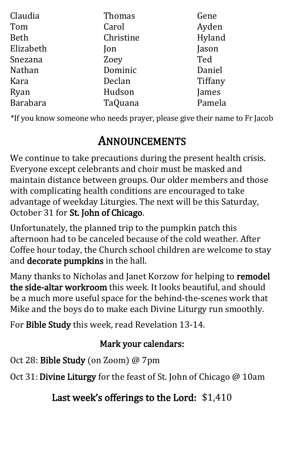| Claudia     | Thomas      | Gene    |
|-------------|-------------|---------|
| Tom         | Carol       | Ayden   |
| <b>Beth</b> | Christine   | Hyland  |
| Elizabeth   | $\lceil$ on | Jason   |
| Snezana     | Zoey        | Ted     |
| Nathan      | Dominic     | Daniel  |
| Kara        | Declan      | Tiffany |
| Ryan        | Hudson      | James   |
| Barabara    | TaQuana     | Pamela  |

\*If you know someone who needs prayer, please give their name to Fr Jacob

## ANNOUNCEMENTS

We continue to take precautions during the present health crisis. Everyone except celebrants and choir must be masked and maintain distance between groups. Our older members and those with complicating health conditions are encouraged to take advantage of weekday Liturgies. The next will be this Saturday, October 31 for St. John of Chicago.

Unfortunately, the planned trip to the pumpkin patch this afternoon had to be canceled because of the cold weather. After Coffee hour today, the Church school children are welcome to stay and decorate pumpkins in the hall.

Many thanks to Nicholas and Janet Korzow for helping to remodel the side-altar workroom this week. It looks beautiful, and should be a much more useful space for the behind-the-scenes work that Mike and the boys do to make each Divine Liturgy run smoothly.

For Bible Study this week, read Revelation 13-14.

#### Mark your calendars:

Oct 28: Bible Study (on Zoom) @ 7pm

Oct 31:Divine Liturgy for the feast of St. John of Chicago @ 10am

Last week's offerings to the Lord: \$1,410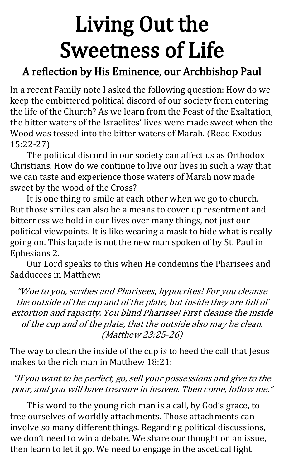# Living Out the Sweetness of Life

## A reflection by His Eminence, our Archbishop Paul

In a recent Family note I asked the following question: How do we keep the embittered political discord of our society from entering the life of the Church? As we learn from the Feast of the Exaltation, the bitter waters of the Israelites' lives were made sweet when the Wood was tossed into the bitter waters of Marah. (Read Exodus 15:22-27)

The political discord in our society can affect us as Orthodox Christians. How do we continue to live our lives in such a way that we can taste and experience those waters of Marah now made sweet by the wood of the Cross?

It is one thing to smile at each other when we go to church. But those smiles can also be a means to cover up resentment and bitterness we hold in our lives over many things, not just our political viewpoints. It is like wearing a mask to hide what is really going on. This façade is not the new man spoken of by St. Paul in Ephesians 2.

Our Lord speaks to this when He condemns the Pharisees and Sadducees in Matthew:

"Woe to you, scribes and Pharisees, hypocrites! For you cleanse the outside of the cup and of the plate, but inside they are full of extortion and rapacity. You blind Pharisee! First cleanse the inside of the cup and of the plate, that the outside also may be clean. (Matthew 23:25-26)

The way to clean the inside of the cup is to heed the call that Jesus makes to the rich man in Matthew 18:21:

#### "If you want to be perfect, go, sell your possessions and give to the poor, and you will have treasure in heaven. Then come, follow me."

This word to the young rich man is a call, by God's grace, to free ourselves of worldly attachments. Those attachments can involve so many different things. Regarding political discussions, we don't need to win a debate. We share our thought on an issue, then learn to let it go. We need to engage in the ascetical fight